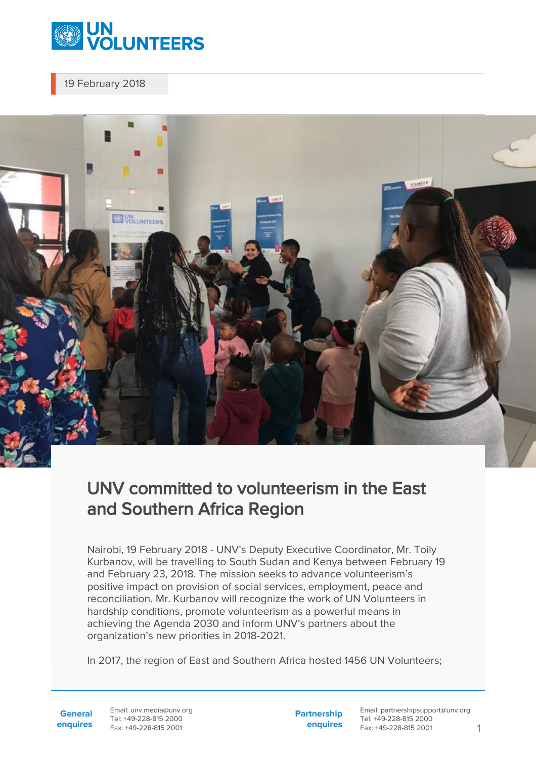

19 February 2018



## UNV committed to volunteerism in the East and Southern Africa Region

Nairobi, 19 February 2018 - UNV's Deputy Executive Coordinator, Mr. Toily Kurbanov, will be travelling to South Sudan and Kenya between February 19 and February 23, 2018. The mission seeks to advance volunteerism's positive impact on provision of social services, employment, peace and reconciliation. Mr. Kurbanov will recognize the work of UN Volunteers in hardship conditions, promote volunteerism as a powerful means in achieving the Agenda 2030 and inform UNV's partners about the organization's new priorities in 2018-2021.

In 2017, the region of East and Southern Africa hosted 1456 UN Volunteers;

**General enquires** Email: unv.media@unv.org Tel: +49-228-815 2000 Fax: +49-228-815 2001

**Partnership enquires** Email: partnershipsupport@unv.org Tel: +49-228-815 2000 Fax: +49-228-815 2001 1